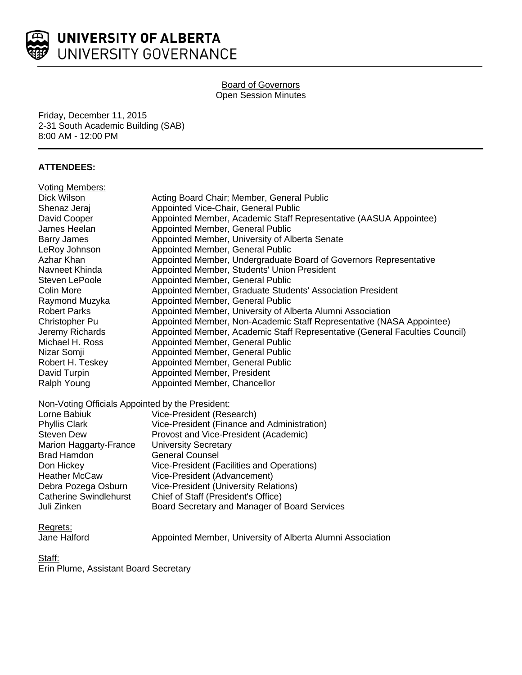

# Board of Governors Open Session Minutes

Friday, December 11, 2015 2-31 South Academic Building (SAB) 8:00 AM - 12:00 PM

# **ATTENDEES:**

| <b>Voting Members:</b>                           |                                                                             |  |  |  |  |
|--------------------------------------------------|-----------------------------------------------------------------------------|--|--|--|--|
| Dick Wilson                                      | Acting Board Chair; Member, General Public                                  |  |  |  |  |
| Shenaz Jeraj                                     | Appointed Vice-Chair, General Public                                        |  |  |  |  |
| David Cooper                                     | Appointed Member, Academic Staff Representative (AASUA Appointee)           |  |  |  |  |
| James Heelan                                     | Appointed Member, General Public                                            |  |  |  |  |
| <b>Barry James</b>                               | Appointed Member, University of Alberta Senate                              |  |  |  |  |
| LeRoy Johnson                                    | Appointed Member, General Public                                            |  |  |  |  |
| Azhar Khan                                       | Appointed Member, Undergraduate Board of Governors Representative           |  |  |  |  |
| Navneet Khinda                                   | Appointed Member, Students' Union President                                 |  |  |  |  |
| Steven LePoole                                   | Appointed Member, General Public                                            |  |  |  |  |
| Colin More                                       | Appointed Member, Graduate Students' Association President                  |  |  |  |  |
| Raymond Muzyka                                   | Appointed Member, General Public                                            |  |  |  |  |
| <b>Robert Parks</b>                              | Appointed Member, University of Alberta Alumni Association                  |  |  |  |  |
| Christopher Pu                                   | Appointed Member, Non-Academic Staff Representative (NASA Appointee)        |  |  |  |  |
| Jeremy Richards                                  | Appointed Member, Academic Staff Representative (General Faculties Council) |  |  |  |  |
| Michael H. Ross                                  | Appointed Member, General Public                                            |  |  |  |  |
| Nizar Somji                                      | Appointed Member, General Public                                            |  |  |  |  |
| Robert H. Teskey                                 | Appointed Member, General Public                                            |  |  |  |  |
| David Turpin                                     | Appointed Member, President                                                 |  |  |  |  |
| Ralph Young                                      | Appointed Member, Chancellor                                                |  |  |  |  |
| Non-Voting Officials Appointed by the President: |                                                                             |  |  |  |  |
| Lorne Babiuk                                     | Vice-President (Research)                                                   |  |  |  |  |
| <b>Phyllis Clark</b>                             | Vice-President (Finance and Administration)                                 |  |  |  |  |
| <b>Steven Dew</b>                                | Provost and Vice-President (Academic)                                       |  |  |  |  |
| Marion Haggarty-France                           | <b>University Secretary</b>                                                 |  |  |  |  |
| <b>Brad Hamdon</b>                               | <b>General Counsel</b>                                                      |  |  |  |  |
| Don Hickey                                       | Vice-President (Facilities and Operations)                                  |  |  |  |  |
| <b>Heather McCaw</b>                             | Vice-President (Advancement)                                                |  |  |  |  |
| Debra Pozega Osburn                              | <b>Vice-President (University Relations)</b>                                |  |  |  |  |
| <b>Catherine Swindlehurst</b>                    | Chief of Staff (President's Office)                                         |  |  |  |  |
| Juli Zinken                                      | Board Secretary and Manager of Board Services                               |  |  |  |  |

Regrets:

Jane Halford **Appointed Member, University of Alberta Alumni Association** 

Staff:

Erin Plume, Assistant Board Secretary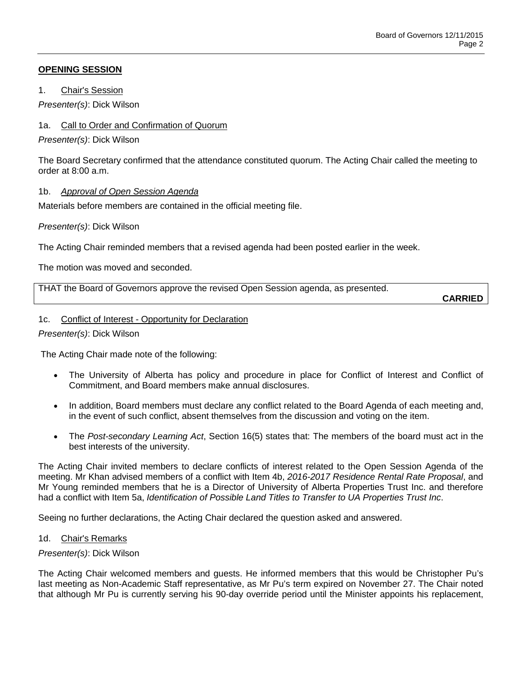# **OPENING SESSION**

1. Chair's Session

*Presenter(s)*: Dick Wilson

1a. Call to Order and Confirmation of Quorum

*Presenter(s)*: Dick Wilson

The Board Secretary confirmed that the attendance constituted quorum. The Acting Chair called the meeting to order at 8:00 a.m.

# 1b. *Approval of Open Session Agenda*

Materials before members are contained in the official meeting file.

*Presenter(s)*: Dick Wilson

The Acting Chair reminded members that a revised agenda had been posted earlier in the week.

The motion was moved and seconded.

THAT the Board of Governors approve the revised Open Session agenda, as presented.

**CARRIED**

## 1c. Conflict of Interest - Opportunity for Declaration

### *Presenter(s)*: Dick Wilson

The Acting Chair made note of the following:

- The University of Alberta has policy and procedure in place for Conflict of Interest and Conflict of Commitment, and Board members make annual disclosures.
- In addition, Board members must declare any conflict related to the Board Agenda of each meeting and, in the event of such conflict, absent themselves from the discussion and voting on the item.
- The *Post-secondary Learning Act*, Section 16(5) states that: The members of the board must act in the best interests of the university.

The Acting Chair invited members to declare conflicts of interest related to the Open Session Agenda of the meeting. Mr Khan advised members of a conflict with Item 4b, *2016-2017 Residence Rental Rate Proposal*, and Mr Young reminded members that he is a Director of University of Alberta Properties Trust Inc. and therefore had a conflict with Item 5a, *Identification of Possible Land Titles to Transfer to UA Properties Trust Inc*.

Seeing no further declarations, the Acting Chair declared the question asked and answered.

## 1d. Chair's Remarks

## *Presenter(s)*: Dick Wilson

The Acting Chair welcomed members and guests. He informed members that this would be Christopher Pu's last meeting as Non-Academic Staff representative, as Mr Pu's term expired on November 27. The Chair noted that although Mr Pu is currently serving his 90-day override period until the Minister appoints his replacement,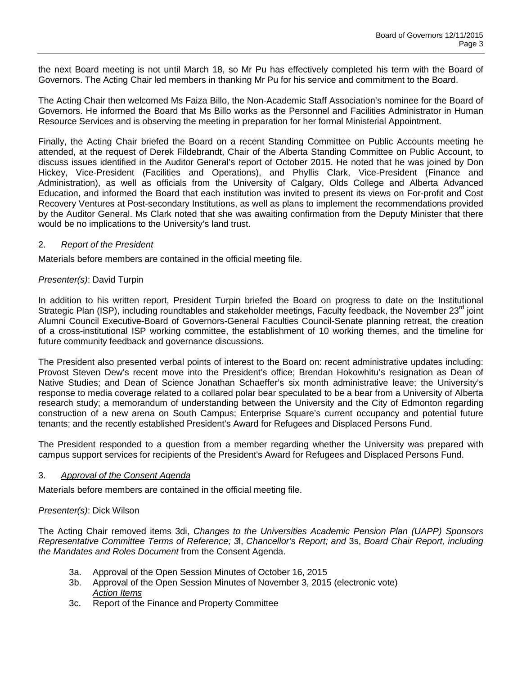the next Board meeting is not until March 18, so Mr Pu has effectively completed his term with the Board of Governors. The Acting Chair led members in thanking Mr Pu for his service and commitment to the Board.

The Acting Chair then welcomed Ms Faiza Billo, the Non-Academic Staff Association's nominee for the Board of Governors. He informed the Board that Ms Billo works as the Personnel and Facilities Administrator in Human Resource Services and is observing the meeting in preparation for her formal Ministerial Appointment.

Finally, the Acting Chair briefed the Board on a recent Standing Committee on Public Accounts meeting he attended, at the request of Derek Fildebrandt, Chair of the Alberta Standing Committee on Public Account, to discuss issues identified in the Auditor General's report of October 2015. He noted that he was joined by Don Hickey, Vice-President (Facilities and Operations), and Phyllis Clark, Vice-President (Finance and Administration), as well as officials from the University of Calgary, Olds College and Alberta Advanced Education, and informed the Board that each institution was invited to present its views on For-profit and Cost Recovery Ventures at Post-secondary Institutions, as well as plans to implement the recommendations provided by the Auditor General. Ms Clark noted that she was awaiting confirmation from the Deputy Minister that there would be no implications to the University's land trust.

### 2. *Report of the President*

Materials before members are contained in the official meeting file.

### *Presenter(s)*: David Turpin

In addition to his written report, President Turpin briefed the Board on progress to date on the Institutional Strategic Plan (ISP), including roundtables and stakeholder meetings, Faculty feedback, the November  $23^{\circ}$  joint Alumni Council Executive-Board of Governors-General Faculties Council-Senate planning retreat, the creation of a cross-institutional ISP working committee, the establishment of 10 working themes, and the timeline for future community feedback and governance discussions.

The President also presented verbal points of interest to the Board on: recent administrative updates including: Provost Steven Dew's recent move into the President's office; Brendan Hokowhitu's resignation as Dean of Native Studies; and Dean of Science Jonathan Schaeffer's six month administrative leave; the University's response to media coverage related to a collared polar bear speculated to be a bear from a University of Alberta research study; a memorandum of understanding between the University and the City of Edmonton regarding construction of a new arena on South Campus; Enterprise Square's current occupancy and potential future tenants; and the recently established President's Award for Refugees and Displaced Persons Fund.

The President responded to a question from a member regarding whether the University was prepared with campus support services for recipients of the President's Award for Refugees and Displaced Persons Fund.

#### 3. *Approval of the Consent Agenda*

Materials before members are contained in the official meeting file.

## *Presenter(s)*: Dick Wilson

The Acting Chair removed items 3di, *Changes to the Universities Academic Pension Plan (UAPP) Sponsors Representative Committee Terms of Reference; 3*l, *Chancellor's Report; and* 3s, *Board Chair Report, including the Mandates and Roles Document* from the Consent Agenda.

- 3a. Approval of the Open Session Minutes of October 16, 2015
- 3b. Approval of the Open Session Minutes of November 3, 2015 (electronic vote) *Action Items*
- 3c. Report of the Finance and Property Committee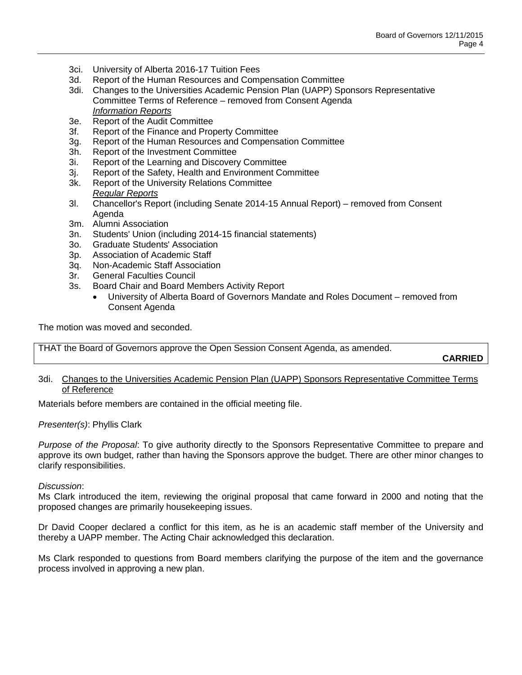- 3ci. University of Alberta 2016-17 Tuition Fees
- 3d. Report of the Human Resources and Compensation Committee
- 3di. Changes to the Universities Academic Pension Plan (UAPP) Sponsors Representative Committee Terms of Reference – removed from Consent Agenda *Information Reports*
- 3e. Report of the Audit Committee
- 3f. Report of the Finance and Property Committee
- 3g. Report of the Human Resources and Compensation Committee
- 3h. Report of the Investment Committee
- 3i. Report of the Learning and Discovery Committee
- 3j. Report of the Safety, Health and Environment Committee
- Report of the University Relations Committee *Regular Reports*
- 3l. Chancellor's Report (including Senate 2014-15 Annual Report) removed from Consent Agenda
- 3m. Alumni Association
- 3n. Students' Union (including 2014-15 financial statements)
- 3o. Graduate Students' Association
- 3p. Association of Academic Staff
- 3q. Non-Academic Staff Association
- 3r. General Faculties Council
- 3s. Board Chair and Board Members Activity Report
	- University of Alberta Board of Governors Mandate and Roles Document removed from Consent Agenda

The motion was moved and seconded.

THAT the Board of Governors approve the Open Session Consent Agenda, as amended.

**CARRIED**

## 3di. Changes to the Universities Academic Pension Plan (UAPP) Sponsors Representative Committee Terms of Reference

Materials before members are contained in the official meeting file.

## *Presenter(s)*: Phyllis Clark

*Purpose of the Proposal*: To give authority directly to the Sponsors Representative Committee to prepare and approve its own budget, rather than having the Sponsors approve the budget. There are other minor changes to clarify responsibilities.

## *Discussion*:

Ms Clark introduced the item, reviewing the original proposal that came forward in 2000 and noting that the proposed changes are primarily housekeeping issues.

Dr David Cooper declared a conflict for this item, as he is an academic staff member of the University and thereby a UAPP member. The Acting Chair acknowledged this declaration.

Ms Clark responded to questions from Board members clarifying the purpose of the item and the governance process involved in approving a new plan.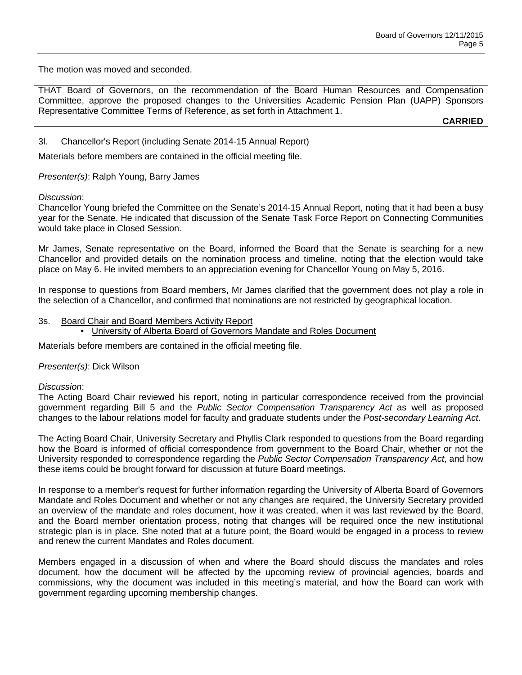The motion was moved and seconded.

THAT Board of Governors, on the recommendation of the Board Human Resources and Compensation Committee, approve the proposed changes to the Universities Academic Pension Plan (UAPP) Sponsors Representative Committee Terms of Reference, as set forth in Attachment 1.

**CARRIED**

## 3l. Chancellor's Report (including Senate 2014-15 Annual Report)

Materials before members are contained in the official meeting file.

*Presenter(s)*: Ralph Young, Barry James

### *Discussion*:

Chancellor Young briefed the Committee on the Senate's 2014-15 Annual Report, noting that it had been a busy year for the Senate. He indicated that discussion of the Senate Task Force Report on Connecting Communities would take place in Closed Session.

Mr James, Senate representative on the Board, informed the Board that the Senate is searching for a new Chancellor and provided details on the nomination process and timeline, noting that the election would take place on May 6. He invited members to an appreciation evening for Chancellor Young on May 5, 2016.

In response to questions from Board members, Mr James clarified that the government does not play a role in the selection of a Chancellor, and confirmed that nominations are not restricted by geographical location.

### 3s. Board Chair and Board Members Activity Report

• University of Alberta Board of Governors Mandate and Roles Document

Materials before members are contained in the official meeting file.

#### *Presenter(s)*: Dick Wilson

#### *Discussion*:

The Acting Board Chair reviewed his report, noting in particular correspondence received from the provincial government regarding Bill 5 and the *Public Sector Compensation Transparency Act* as well as proposed changes to the labour relations model for faculty and graduate students under the *Post-secondary Learning Act*.

The Acting Board Chair, University Secretary and Phyllis Clark responded to questions from the Board regarding how the Board is informed of official correspondence from government to the Board Chair, whether or not the University responded to correspondence regarding the *Public Sector Compensation Transparency Act*, and how these items could be brought forward for discussion at future Board meetings.

In response to a member's request for further information regarding the University of Alberta Board of Governors Mandate and Roles Document and whether or not any changes are required, the University Secretary provided an overview of the mandate and roles document, how it was created, when it was last reviewed by the Board, and the Board member orientation process, noting that changes will be required once the new institutional strategic plan is in place. She noted that at a future point, the Board would be engaged in a process to review and renew the current Mandates and Roles document.

Members engaged in a discussion of when and where the Board should discuss the mandates and roles document, how the document will be affected by the upcoming review of provincial agencies, boards and commissions, why the document was included in this meeting's material, and how the Board can work with government regarding upcoming membership changes.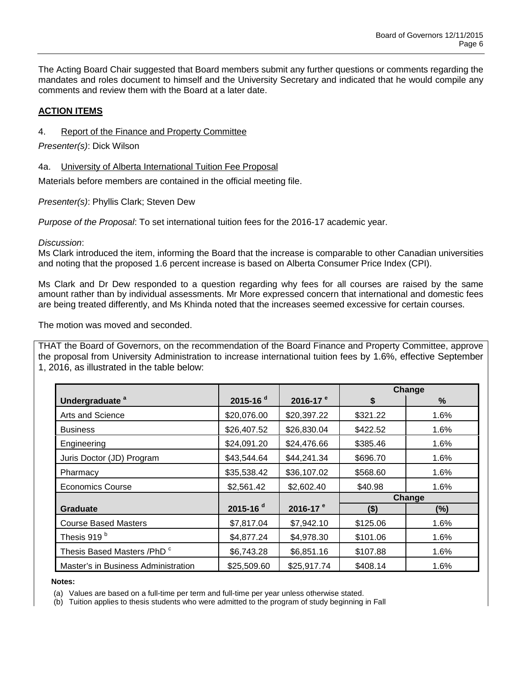The Acting Board Chair suggested that Board members submit any further questions or comments regarding the mandates and roles document to himself and the University Secretary and indicated that he would compile any comments and review them with the Board at a later date.

# **ACTION ITEMS**

## 4. Report of the Finance and Property Committee

*Presenter(s)*: Dick Wilson

## 4a. University of Alberta International Tuition Fee Proposal

Materials before members are contained in the official meeting file.

*Presenter(s)*: Phyllis Clark; Steven Dew

*Purpose of the Proposal*: To set international tuition fees for the 2016-17 academic year.

*Discussion*:

Ms Clark introduced the item, informing the Board that the increase is comparable to other Canadian universities and noting that the proposed 1.6 percent increase is based on Alberta Consumer Price Index (CPI).

Ms Clark and Dr Dew responded to a question regarding why fees for all courses are raised by the same amount rather than by individual assessments. Mr More expressed concern that international and domestic fees are being treated differently, and Ms Khinda noted that the increases seemed excessive for certain courses.

The motion was moved and seconded.

THAT the Board of Governors, on the recommendation of the Board Finance and Property Committee, approve the proposal from University Administration to increase international tuition fees by 1.6%, effective September 1, 2016, as illustrated in the table below:

|                                     |             |                      | Change   |      |
|-------------------------------------|-------------|----------------------|----------|------|
| Undergraduate <sup>a</sup>          | 2015-16 $d$ | 2016-17 <sup>e</sup> | \$       | $\%$ |
| Arts and Science                    | \$20,076.00 | \$20,397.22          | \$321.22 | 1.6% |
| <b>Business</b>                     | \$26,407.52 | \$26,830.04          | \$422.52 | 1.6% |
| Engineering                         | \$24,091.20 | \$24,476.66          | \$385.46 | 1.6% |
| Juris Doctor (JD) Program           | \$43,544.64 | \$44,241.34          | \$696.70 | 1.6% |
| Pharmacy                            | \$35,538.42 | \$36,107.02          | \$568.60 | 1.6% |
| <b>Economics Course</b>             | \$2,561.42  | \$2,602.40           | \$40.98  | 1.6% |
|                                     |             |                      | Change   |      |
| <b>Graduate</b>                     | 2015-16 $d$ | 2016-17 $e$          | ( \$)    | (%)  |
| <b>Course Based Masters</b>         | \$7,817.04  | \$7,942.10           | \$125.06 | 1.6% |
| Thesis 919 <sup>b</sup>             | \$4,877.24  | \$4,978.30           | \$101.06 | 1.6% |
| Thesis Based Masters /PhD c         | \$6,743.28  | \$6,851.16           | \$107.88 | 1.6% |
| Master's in Business Administration | \$25,509.60 | \$25,917.74          | \$408.14 | 1.6% |

 **Notes:**

(b) Tuition applies to thesis students who were admitted to the program of study beginning in Fall

<sup>(</sup>a) Values are based on a full-time per term and full-time per year unless otherwise stated.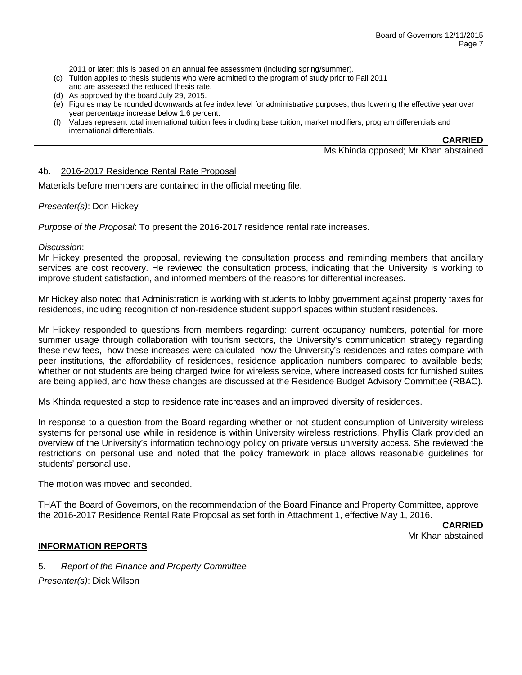2011 or later; this is based on an annual fee assessment (including spring/summer).

- (c) Tuition applies to thesis students who were admitted to the program of study prior to Fall 2011 and are assessed the reduced thesis rate.
- (d) As approved by the board July 29, 2015.
- (e) Figures may be rounded downwards at fee index level for administrative purposes, thus lowering the effective year over year percentage increase below 1.6 percent.
- (f) Values represent total international tuition fees including base tuition, market modifiers, program differentials and international differentials.

**CARRIED**

Ms Khinda opposed; Mr Khan abstained

### 4b. 2016-2017 Residence Rental Rate Proposal

Materials before members are contained in the official meeting file.

### *Presenter(s)*: Don Hickey

*Purpose of the Proposal*: To present the 2016-2017 residence rental rate increases.

#### *Discussion*:

Mr Hickey presented the proposal, reviewing the consultation process and reminding members that ancillary services are cost recovery. He reviewed the consultation process, indicating that the University is working to improve student satisfaction, and informed members of the reasons for differential increases.

Mr Hickey also noted that Administration is working with students to lobby government against property taxes for residences, including recognition of non-residence student support spaces within student residences.

Mr Hickey responded to questions from members regarding: current occupancy numbers, potential for more summer usage through collaboration with tourism sectors, the University's communication strategy regarding these new fees, how these increases were calculated, how the University's residences and rates compare with peer institutions, the affordability of residences, residence application numbers compared to available beds; whether or not students are being charged twice for wireless service, where increased costs for furnished suites are being applied, and how these changes are discussed at the Residence Budget Advisory Committee (RBAC).

Ms Khinda requested a stop to residence rate increases and an improved diversity of residences.

In response to a question from the Board regarding whether or not student consumption of University wireless systems for personal use while in residence is within University wireless restrictions, Phyllis Clark provided an overview of the University's information technology policy on private versus university access. She reviewed the restrictions on personal use and noted that the policy framework in place allows reasonable guidelines for students' personal use.

The motion was moved and seconded.

THAT the Board of Governors, on the recommendation of the Board Finance and Property Committee, approve the 2016-2017 Residence Rental Rate Proposal as set forth in Attachment 1, effective May 1, 2016.

**CARRIED**

## Mr Khan abstained

#### **INFORMATION REPORTS**

5. *Report of the Finance and Property Committee*

*Presenter(s)*: Dick Wilson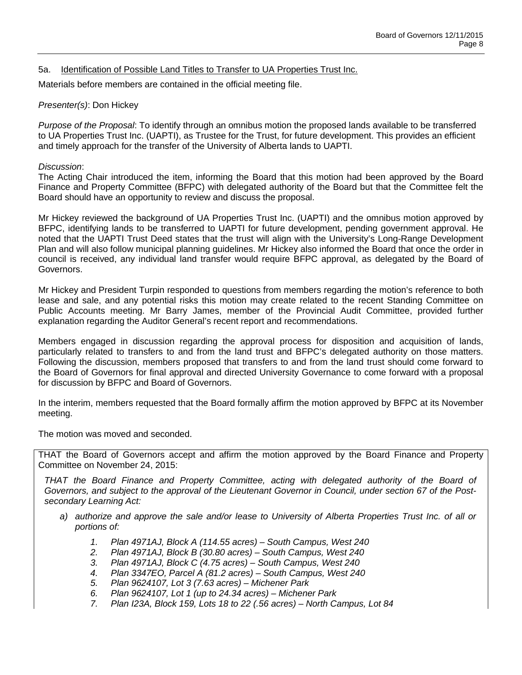## 5a. Identification of Possible Land Titles to Transfer to UA Properties Trust Inc.

Materials before members are contained in the official meeting file.

### *Presenter(s)*: Don Hickey

*Purpose of the Proposal*: To identify through an omnibus motion the proposed lands available to be transferred to UA Properties Trust Inc. (UAPTI), as Trustee for the Trust, for future development. This provides an efficient and timely approach for the transfer of the University of Alberta lands to UAPTI.

### *Discussion*:

The Acting Chair introduced the item, informing the Board that this motion had been approved by the Board Finance and Property Committee (BFPC) with delegated authority of the Board but that the Committee felt the Board should have an opportunity to review and discuss the proposal.

Mr Hickey reviewed the background of UA Properties Trust Inc. (UAPTI) and the omnibus motion approved by BFPC, identifying lands to be transferred to UAPTI for future development, pending government approval. He noted that the UAPTI Trust Deed states that the trust will align with the University's Long-Range Development Plan and will also follow municipal planning guidelines. Mr Hickey also informed the Board that once the order in council is received, any individual land transfer would require BFPC approval, as delegated by the Board of Governors.

Mr Hickey and President Turpin responded to questions from members regarding the motion's reference to both lease and sale, and any potential risks this motion may create related to the recent Standing Committee on Public Accounts meeting. Mr Barry James, member of the Provincial Audit Committee, provided further explanation regarding the Auditor General's recent report and recommendations.

Members engaged in discussion regarding the approval process for disposition and acquisition of lands, particularly related to transfers to and from the land trust and BFPC's delegated authority on those matters. Following the discussion, members proposed that transfers to and from the land trust should come forward to the Board of Governors for final approval and directed University Governance to come forward with a proposal for discussion by BFPC and Board of Governors.

In the interim, members requested that the Board formally affirm the motion approved by BFPC at its November meeting.

The motion was moved and seconded.

THAT the Board of Governors accept and affirm the motion approved by the Board Finance and Property Committee on November 24, 2015:

*THAT the Board Finance and Property Committee, acting with delegated authority of the Board of Governors, and subject to the approval of the Lieutenant Governor in Council, under section 67 of the Postsecondary Learning Act:*

- *a) authorize and approve the sale and/or lease to University of Alberta Properties Trust Inc. of all or portions of:* 
	- *1. Plan 4971AJ, Block A (114.55 acres) – South Campus, West 240*
	- *2. Plan 4971AJ, Block B (30.80 acres) – South Campus, West 240*
	- *3. Plan 4971AJ, Block C (4.75 acres) – South Campus, West 240*
	- *4. Plan 3347EO, Parcel A (81.2 acres) – South Campus, West 240*
	- *5. Plan 9624107, Lot 3 (7.63 acres) – Michener Park*
	- *6. Plan 9624107, Lot 1 (up to 24.34 acres) – Michener Park*
	- *7. Plan I23A, Block 159, Lots 18 to 22 (.56 acres) – North Campus, Lot 84*